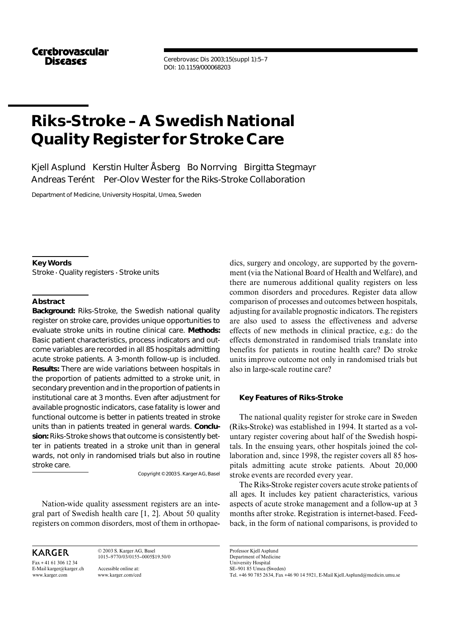**Cerebrovascular Discascs** 

Cerebrovasc Dis 2003;15(suppl 1):5–7 DOI: 10.1159/000068203

# **Riks-Stroke – A Swedish National Quality Register for Stroke Care**

Kjell Asplund Kerstin Hulter Åsberg Bo Norrving Birgitta Stegmayr Andreas Terént Per-Olov Wester for the Riks-Stroke Collaboration

Department of Medicine, University Hospital, Umea, Sweden

**Key Words** Stroke  $\cdot$  Quality registers  $\cdot$  Stroke units

### **Abstract**

*Background:* Riks-Stroke, the Swedish national quality register on stroke care, provides unique opportunities to evaluate stroke units in routine clinical care. *Methods:* Basic patient characteristics, process indicators and outcome variables are recorded in all 85 hospitals admitting acute stroke patients. A 3-month follow-up is included. *Results:* There are wide variations between hospitals in the proportion of patients admitted to a stroke unit, in secondary prevention and in the proportion of patients in institutional care at 3 months. Even after adjustment for available prognostic indicators, case fatality is lower and functional outcome is better in patients treated in stroke units than in patients treated in general wards. *Conclusion:* Riks-Stroke shows that outcome is consistently better in patients treated in a stroke unit than in general wards, not only in randomised trials but also in routine stroke care.

Copyright © 2003 S. Karger AG, Basel

Nation-wide quality assessment registers are an integral part of Swedish health care [1, 2]. About 50 quality registers on common disorders, most of them in orthopae-

KARGER

Fax + 41 61 306 12 34 E-Mail karger@karger.ch www.karger.com

© 2003 S. Karger AG, Basel 1015–9770/03/0155–0005\$19.50/0 Accessible online at: www.karger.com/ced

dics, surgery and oncology, are supported by the government (via the National Board of Health and Welfare), and there are numerous additional quality registers on less common disorders and procedures. Register data allow comparison of processes and outcomes between hospitals, adjusting for available prognostic indicators. The registers are also used to assess the effectiveness and adverse effects of new methods in clinical practice, e.g.: do the effects demonstrated in randomised trials translate into benefits for patients in routine health care? Do stroke units improve outcome not only in randomised trials but also in large-scale routine care?

#### **Key Features of Riks-Stroke**

The national quality register for stroke care in Sweden (Riks-Stroke) was established in 1994. It started as a voluntary register covering about half of the Swedish hospitals. In the ensuing years, other hospitals joined the collaboration and, since 1998, the register covers all 85 hospitals admitting acute stroke patients. About 20,000 stroke events are recorded every year.

The Riks-Stroke register covers acute stroke patients of all ages. It includes key patient characteristics, various aspects of acute stroke management and a follow-up at 3 months after stroke. Registration is internet-based. Feedback, in the form of national comparisons, is provided to

Professor Kjell Asplund Department of Medicine University Hospital SE–901 85 Umea (Sweden) Tel. +46 90 785 2634, Fax +46 90 14 5921, E-Mail Kjell.Asplund@medicin.umu.se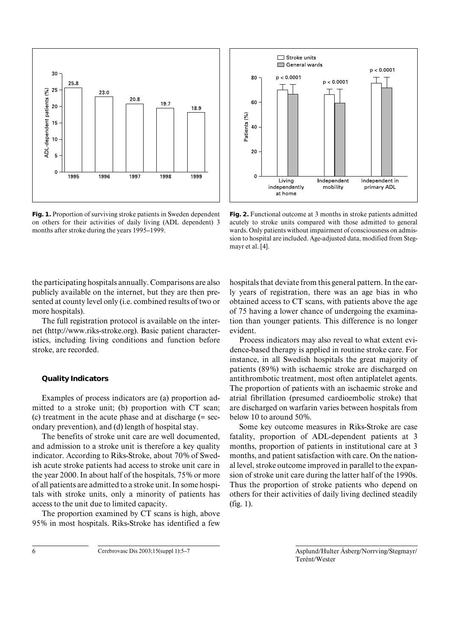

**Fig. 1.** Proportion of surviving stroke patients in Sweden dependent on others for their activities of daily living (ADL dependent) 3 months after stroke during the years 1995–1999.



**Fig. 2.** Functional outcome at 3 months in stroke patients admitted acutely to stroke units compared with those admitted to general wards. Only patients without impairment of consciousness on admission to hospital are included. Age-adjusted data, modified from Stegmayr et al. [4].

the participating hospitals annually. Comparisons are also publicly available on the internet, but they are then presented at county level only (i.e. combined results of two or more hospitals).

The full registration protocol is available on the internet (http://www.riks-stroke.org). Basic patient characteristics, including living conditions and function before stroke, are recorded.

#### **Quality Indicators**

Examples of process indicators are (a) proportion admitted to a stroke unit; (b) proportion with CT scan; (c) treatment in the acute phase and at discharge (= secondary prevention), and (d) length of hospital stay.

The benefits of stroke unit care are well documented, and admission to a stroke unit is therefore a key quality indicator. According to Riks-Stroke, about 70% of Swedish acute stroke patients had access to stroke unit care in the year 2000. In about half of the hospitals, 75% or more of all patients are admitted to a stroke unit. In some hospitals with stroke units, only a minority of patients has access to the unit due to limited capacity.

The proportion examined by CT scans is high, above 95% in most hospitals. Riks-Stroke has identified a few

hospitals that deviate from this general pattern. In the early years of registration, there was an age bias in who obtained access to CT scans, with patients above the age of 75 having a lower chance of undergoing the examination than younger patients. This difference is no longer evident.

Process indicators may also reveal to what extent evidence-based therapy is applied in routine stroke care. For instance, in all Swedish hospitals the great majority of patients (89%) with ischaemic stroke are discharged on antithrombotic treatment, most often antiplatelet agents. The proportion of patients with an ischaemic stroke and atrial fibrillation (presumed cardioembolic stroke) that are discharged on warfarin varies between hospitals from below 10 to around 50%.

Some key outcome measures in Riks-Stroke are case fatality, proportion of ADL-dependent patients at 3 months, proportion of patients in institutional care at 3 months, and patient satisfaction with care. On the national level, stroke outcome improved in parallel to the expansion of stroke unit care during the latter half of the 1990s. Thus the proportion of stroke patients who depend on others for their activities of daily living declined steadily (fig. 1).

6 Cerebrovasc Dis 2003;15(suppl 1):5–7 Asplund/Hulter Åsberg/Norrving/Stegmayr/ Terént/Wester